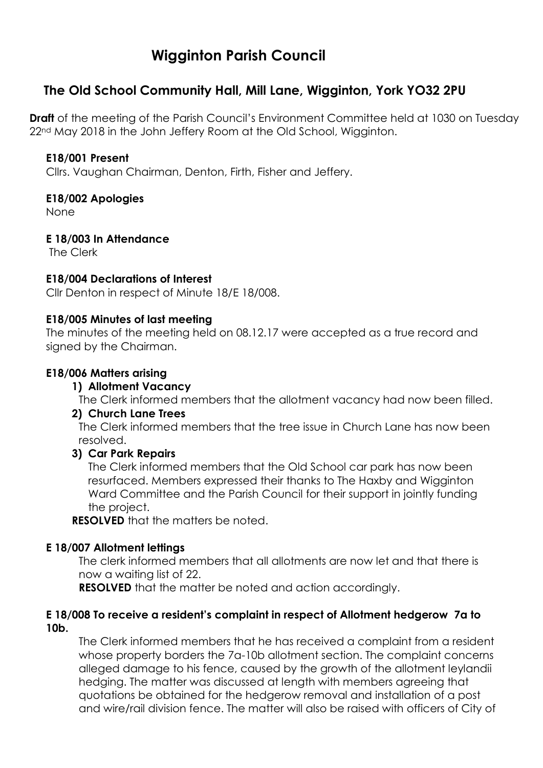# **Wigginton Parish Council**

# **The Old School Community Hall, Mill Lane, Wigginton, York YO32 2PU**

**Draft** of the meeting of the Parish Council's Environment Committee held at 1030 on Tuesday 22<sup>nd</sup> May 2018 in the John Jeffery Room at the Old School, Wigginton.

#### **E18/001 Present**

Cllrs. Vaughan Chairman, Denton, Firth, Fisher and Jeffery.

### **E18/002 Apologies**

None

### **E 18/003 In Attendance**

The Clerk

### **E18/004 Declarations of Interest**

Cllr Denton in respect of Minute 18/E 18/008.

#### **E18/005 Minutes of last meeting**

The minutes of the meeting held on 08.12.17 were accepted as a true record and signed by the Chairman.

### **E18/006 Matters arising**

### **1) Allotment Vacancy**

The Clerk informed members that the allotment vacancy had now been filled.

### **2) Church Lane Trees**

The Clerk informed members that the tree issue in Church Lane has now been resolved.

### **3) Car Park Repairs**

The Clerk informed members that the Old School car park has now been resurfaced. Members expressed their thanks to The Haxby and Wigginton Ward Committee and the Parish Council for their support in jointly funding the project.

**RESOLVED** that the matters be noted.

### **E 18/007 Allotment lettings**

The clerk informed members that all allotments are now let and that there is now a waiting list of 22.

**RESOLVED** that the matter be noted and action accordinaly.

#### **E 18/008 To receive a resident's complaint in respect of Allotment hedgerow 7a to 10b.**

The Clerk informed members that he has received a complaint from a resident whose property borders the 7a-10b allotment section. The complaint concerns alleged damage to his fence, caused by the growth of the allotment leylandii hedging. The matter was discussed at length with members agreeing that quotations be obtained for the hedgerow removal and installation of a post and wire/rail division fence. The matter will also be raised with officers of City of